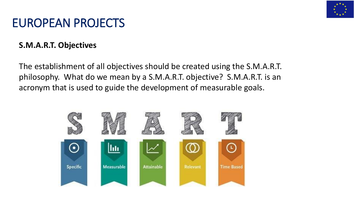

# EUROPEAN PROJECTS

### **S.M.A.R.T. Objectives**

The establishment of all objectives should be created using the S.M.A.R.T. philosophy. What do we mean by a S.M.A.R.T. objective? S.M.A.R.T. is an acronym that is used to guide the development of measurable goals.

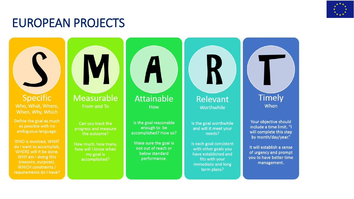

# EUROPEAN PROJECTS

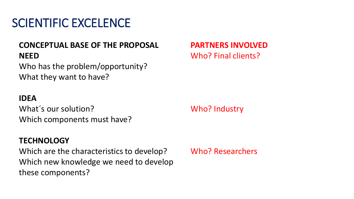# SCIENTIFIC EXCELENCE

### **CONCEPTUAL BASE OF THE PROPOSAL NEED**

Who has the problem/opportunity? What they want to have?

#### **IDEA**

What´s our solution? Which components must have?

#### **TECHNOLOGY**

Which are the characteristics to develop? Which new knowledge we need to develop these components?

**PARTNERS INVOLVED** Who? Final clients?

Who? Industry

Who? Researchers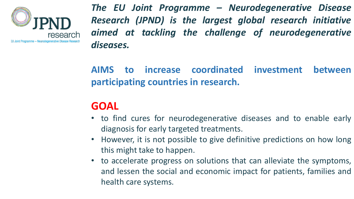

*The EU Joint Programme – Neurodegenerative Disease Research (JPND) is the largest global research initiative aimed at tackling the challenge of neurodegenerative diseases.*

**AIMS to increase coordinated investment between participating countries in research.**

## **GOAL**

- to find cures for neurodegenerative diseases and to enable early diagnosis for early targeted treatments.
- However, it is not possible to give definitive predictions on how long this might take to happen.
- to accelerate progress on solutions that can alleviate the symptoms, and lessen the social and economic impact for patients, families and health care systems.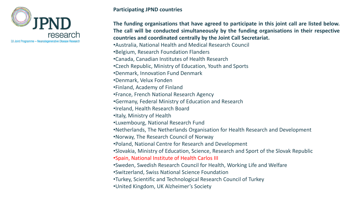

#### **Participating JPND countries**

**The funding organisations that have agreed to participate in this joint call are listed below. The call will be conducted simultaneously by the funding organisations in their respective countries and coordinated centrally by the Joint Call Secretariat.**

•Australia, National Health and Medical Research Council

•Belgium, Research Foundation Flanders

•Canada, Canadian Institutes of Health Research

•Czech Republic, Ministry of Education, Youth and Sports

•Denmark, Innovation Fund Denmark

•Denmark, Velux Fonden

•Finland, Academy of Finland

•France, French National Research Agency

•Germany, Federal Ministry of Education and Research

•Ireland, Health Research Board

•Italy, Ministry of Health

•Luxembourg, National Research Fund

•Netherlands, The Netherlands Organisation for Health Research and Development

•Norway, The Research Council of Norway

•Poland, National Centre for Research and Development

•Slovakia, Ministry of Education, Science, Research and Sport of the Slovak Republic

•Spain, National Institute of Health Carlos III

•Sweden, Swedish Research Council for Health, Working Life and Welfare

•Switzerland, Swiss National Science Foundation

•Turkey, Scientific and Technological Research Council of Turkey

•United Kingdom, UK Alzheimer's Society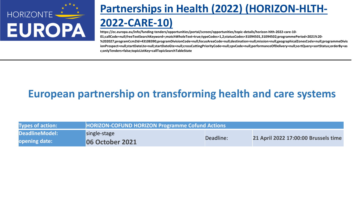

# **Partnerships in Health (2022) (HORIZON-HLTH-**

### **2022-CARE-10)**

**https://ec.europa.eu/info/funding-tenders/opportunities/portal/screen/opportunities/topic-details/horizon-hlth-2022-care-10- 01;callCode=null;freeTextSearchKeyword=;matchWholeText=true;typeCodes=1,2;statusCodes=31094501,31094502;programmePeriod=2021%20- %202027;programCcm2Id=43108390;programDivisionCode=null;focusAreaCode=null;destination=null;mission=null;geographicalZonesCode=null;programmeDivis ionProspect=null;startDateLte=null;startDateGte=null;crossCuttingPriorityCode=null;cpvCode=null;performanceOfDelivery=null;sortQuery=sortStatus;orderBy=as c;onlyTenders=false;topicListKey=callTopicSearchTableState** 

## **European partnership on transforming health and care systems**

| <b>Types of action:</b> | <b>HORIZON-COFUND HORIZON Programme Cofund Actions</b> |           |                                      |
|-------------------------|--------------------------------------------------------|-----------|--------------------------------------|
| DeadlineModel:          | single-stage                                           |           |                                      |
| opening date:           | <b>06 October 2021</b>                                 | Deadline: | 21 April 2022 17:00:00 Brussels time |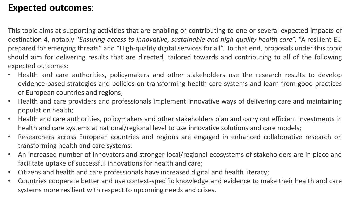### **Expected outcomes**:

This topic aims at supporting activities that are enabling or contributing to one or several expected impacts of destination 4, notably "*Ensuring access to innovative, sustainable and high-quality health care*", "A resilient EU prepared for emerging threats" and "High-quality digital services for all". To that end, proposals under this topic should aim for delivering results that are directed, tailored towards and contributing to all of the following expected outcomes:

- Health and care authorities, policymakers and other stakeholders use the research results to develop evidence-based strategies and policies on transforming health care systems and learn from good practices of European countries and regions;
- Health and care providers and professionals implement innovative ways of delivering care and maintaining population health;
- Health and care authorities, policymakers and other stakeholders plan and carry out efficient investments in health and care systems at national/regional level to use innovative solutions and care models;
- Researchers across European countries and regions are engaged in enhanced collaborative research on transforming health and care systems;
- An increased number of innovators and stronger local/regional ecosystems of stakeholders are in place and facilitate uptake of successful innovations for health and care;
- Citizens and health and care professionals have increased digital and health literacy;
- Countries cooperate better and use context-specific knowledge and evidence to make their health and care systems more resilient with respect to upcoming needs and crises.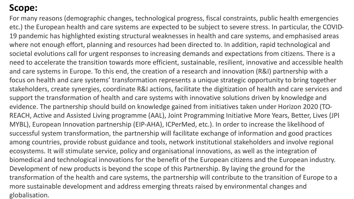For many reasons (demographic changes, technological progress, fiscal constraints, public health emergencies etc.) the European health and care systems are expected to be subject to severe stress. In particular, the COVID-19 pandemic has highlighted existing structural weaknesses in health and care systems, and emphasised areas where not enough effort, planning and resources had been directed to. In addition, rapid technological and societal evolutions call for urgent responses to increasing demands and expectations from citizens. There is a need to accelerate the transition towards more efficient, sustainable, resilient, innovative and accessible health and care systems in Europe. To this end, the creation of a research and innovation (R&I) partnership with a focus on health and care systems' transformation represents a unique strategic opportunity to bring together stakeholders, create synergies, coordinate R&I actions, facilitate the digitization of health and care services and support the transformation of health and care systems with innovative solutions driven by knowledge and evidence. The partnership should build on knowledge gained from initiatives taken under Horizon 2020 (TO-REACH, Active and Assisted Living programme (AAL), Joint Programming Initiative More Years, Better, Lives (JPI MYBL), European Innovation partnership (EIP-AHA), ICPerMed, etc.). In order to increase the likelihood of successful system transformation, the partnership will facilitate exchange of information and good practices among countries, provide robust guidance and tools, network institutional stakeholders and involve regional ecosystems. It will stimulate service, policy and organisational innovations, as well as the integration of biomedical and technological innovations for the benefit of the European citizens and the European industry. Development of new products is beyond the scope of this Partnership. By laying the ground for the transformation of the health and care systems, the partnership will contribute to the transition of Europe to a more sustainable development and address emerging threats raised by environmental changes and globalisation.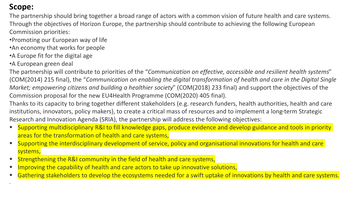.

The partnership should bring together a broad range of actors with a common vision of future health and care systems. Through the objectives of Horizon Europe, the partnership should contribute to achieving the following European Commission priorities:

- •Promoting our European way of life
- •An economy that works for people
- •A Europe fit for the digital age
- •A European green deal

The partnership will contribute to priorities of the "*Communication on effective, accessible and resilient health systems*" (COM(2014) 215 final), the "*Communication on enabling the digital transformation of health and care in the Digital Single Market; empowering citizens and building a healthier society*" (COM(2018) 233 final) and support the objectives of the Commission proposal for the new EU4Health Programme (COM(2020) 405 final).

Thanks to its capacity to bring together different stakeholders (e.g. research funders, health authorities, health and care institutions, innovators, policy makers), to create a critical mass of resources and to implement a long-term Strategic Research and Innovation Agenda (SRIA), the partnership will address the following objectives:

- Supporting multidisciplinary R&I to fill knowledge gaps, produce evidence and develop guidance and tools in priority areas for the transformation of health and care systems,
- Supporting the interdisciplinary development of service, policy and organisational innovations for health and care systems,
- **E** Strengthening the R&I community in the field of health and care systems,
- Improving the capability of health and care actors to take up innovative solutions,
- Gathering stakeholders to develop the ecosystems needed for a swift uptake of innovations by health and care systems.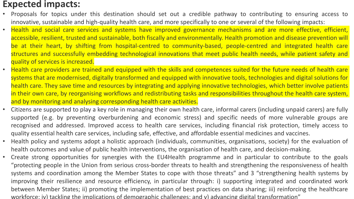#### **Expected impacts:**

- Proposals for topics under this destination should set out a credible pathway to contributing to ensuring access to innovative, sustainable and high-quality health care, and more specifically to one or several of the following impacts:
- Health and social care services and systems have improved governance mechanisms and are more effective, efficient, accessible, resilient, trusted and sustainable, both fiscally and environmentally. Health promotion and disease prevention will be at their heart, by shifting from hospital-centred to community-based, people-centred and integrated health care structures and successfully embedding technological innovations that meet public health needs, while patient safety and quality of services is increased.
- Health care providers are trained and equipped with the skills and competences suited for the future needs of health care systems that are modernised, digitally transformed and equipped with innovative tools, technologies and digital solutions for health care. They save time and resources by integrating and applying innovative technologies, which better involve patients in their own care, by reorganising workflows and redistributing tasks and responsibilities throughout the health care system, and by monitoring and analysing corresponding health care activities.
- Citizens are supported to play a key role in managing their own health care, informal carers (including unpaid carers) are fully supported (e.g. by preventing overburdening and economic stress) and specific needs of more vulnerable groups are recognised and addressed. Improved access to health care services, including financial risk protection, timely access to quality essential health care services, including safe, effective, and affordable essential medicines and vaccines.
- Health policy and systems adopt a holistic approach (individuals, communities, organisations, society) for the evaluation of health outcomes and value of public health interventions, the organisation of health care, and decision-making.
- Create strong opportunities for synergies with the EU4Health programme and in particular to contribute to the goals "protecting people in the Union from serious cross-border threats to health and strengthening the responsiveness of health systems and coordination among the Member States to cope with those threats" and 3 "strengthening health systems by improving their resilience and resource efficiency, in particular through: i) supporting integrated and coordinated work between Member States; ii) promoting the implementation of best practices on data sharing; iii) reinforcing the healthcare workforce; iv) tackling the implications of demographic challenges; and v) advancing digital transformation"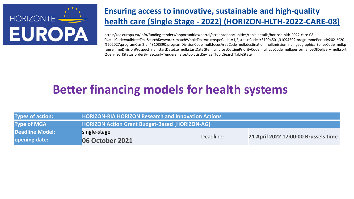

### **Ensuring access to innovative, sustainable and high-quality health care (Single Stage - 2022) (HORIZON-HLTH-2022-CARE-08)**

https://ec.europa.eu/info/funding-tenders/opportunities/portal/screen/opportunities/topic-details/horizon-hlth-2022-care-08- 04;callCode=null;freeTextSearchKeyword=;matchWholeText=true;typeCodes=1,2;statusCodes=31094501,31094502;programmePeriod=2021%20- %202027;programCcm2Id=43108390;programDivisionCode=null;focusAreaCode=null;destination=null;mission=null;geographicalZonesCode=null;p rogrammeDivisionProspect=null;startDateLte=null;startDateGte=null;crossCuttingPriorityCode=null;cpvCode=null;performanceOfDelivery=null;sort Query=sortStatus;orderBy=asc;onlyTenders=false;topicListKey=callTopicSearchTableState

# **Better financing models for health systems**

| <b>Types of action:</b> | <b>HORIZON-RIA HORIZON Research and Innovation Actions</b> |           |                                      |
|-------------------------|------------------------------------------------------------|-----------|--------------------------------------|
| <b>Type of MGA</b>      | <b>HORIZON Action Grant Budget-Based [HORIZON-AG]</b>      |           |                                      |
| Deadline Model:         | single-stage                                               |           |                                      |
| opening date:           | <b>106 October 2021</b>                                    | Deadline: | 21 April 2022 17:00:00 Brussels time |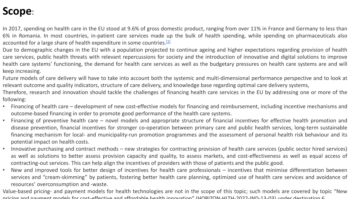In 2017, spending on health care in the EU stood at 9.6% of gross domestic product, ranging from over 11% in France and Germany to less than 6% in Romania. In most countries, in-patient care services made up the bulk of health spending, while spending on pharmaceuticals also accounted for a large share of health expenditure in some countries. $^{[1]}$  $^{[1]}$  $^{[1]}$ 

Due to demographic changes in the EU with a population projected to continue ageing and higher expectations regarding provision of health care services, public health threats with relevant repercussions for society and the introduction of innovative and digital solutions to improve health care systems' functioning, the demand for health care services as well as the budgetary pressures on health care systems are and will keep increasing.

Future models of care delivery will have to take into account both the systemic and multi-dimensional performance perspective and to look at relevant outcome and quality indicators, structure of care delivery, and knowledge base regarding optimal care delivery systems,

Therefore, research and innovation should tackle the challenges of financing health care services in the EU by addressing one or more of the following:

- Financing of health care development of new cost-effective models for financing and reimbursement, including incentive mechanisms and outcome-based financing in order to promote good performance of the health care systems.
- Financing of preventive health care novel models and appropriate structure of financial incentives for effective health promotion and disease prevention, financial incentives for stronger co-operation between primary care and public health services, long-term sustainable financing mechanism for local- and municipality-run promotion programmes and the assessment of personal health risk behaviour and its potential impact on health costs.
- Innovative purchasing and contract methods new strategies for contracting provision of health care services (public sector hired services) as well as solutions to better assess provision capacity and quality, to assess markets, and cost-effectiveness as well as equal access of contracting-out services. This can help align the incentives of providers with those of patients and the public good.
- New and improved tools for better design of incentives for health care professionals incentives that minimise differentiation between services and "cream-skimming" by patients, fostering better health care planning, optimized use of health care services and avoidance of resources' overconsumption and -waste.

Value-based pricing- and payment models for health technologies are not in the scope of this topic; such models are covered by topic "New pricing and payment models for cost-effective and affordable health innovation" (HORIZON-HLTH-2022-IND-13-03) under destination 6.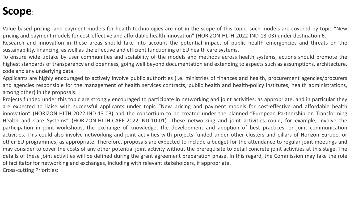Value-based pricing- and payment models for health technologies are not in the scope of this topic; such models are covered by topic "New pricing and payment models for cost-effective and affordable health innovation" (HORIZON-HLTH-2022-IND-13-03) under destination 6.

Research and innovation in these areas should take into account the potential impact of public health emergencies and threats on the sustainability, financing, as well as the effective and efficient functioning of EU health care systems.

To ensure wide uptake by user communities and scalability of the models and methods across health systems, actions should promote the highest standards of transparency and openness, going well beyond documentation and extending to aspects such as assumptions, architecture, code and any underlying data.

Applicants are highly encouraged to actively involve public authorities (i.e. ministries of finances and health, procurement agencies/procurers and agencies responsible for the management of health services contracts, public health and health-policy institutes, health administrations, among other) in the proposals.

Projects funded under this topic are strongly encouraged to participate in networking and joint activities, as appropriate, and in particular they are expected to liaise with successful applicants under topic "New pricing and payment models for cost-effective and affordable health innovation" (HORIZON-HLTH-2022-IND-13-03) and the consortium to be created under the planned "European Partnership on Transforming Health and Care Systems" (HORIZON-HLTH-CARE-2022-IND-10-01). These networking and joint activities could, for example, involve the participation in joint workshops, the exchange of knowledge, the development and adoption of best practices, or joint communication activities. This could also involve networking and joint activities with projects funded under other clusters and pillars of Horizon Europe, or other EU programmes, as appropriate. Therefore, proposals are expected to include a budget for the attendance to regular joint meetings and may consider to cover the costs of any other potential joint activity without the prerequisite to detail concrete joint activities at this stage. The details of these joint activities will be defined during the grant agreement preparation phase. In this regard, the Commission may take the role of facilitator for networking and exchanges, including with relevant stakeholders, if appropriate. Cross-cutting Priorities: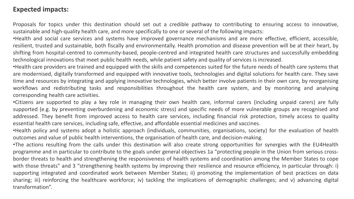#### **Expected impacts:**

Proposals for topics under this destination should set out a credible pathway to contributing to ensuring access to innovative, sustainable and high-quality health care, and more specifically to one or several of the following impacts:

•Health and social care services and systems have improved governance mechanisms and are more effective, efficient, accessible, resilient, trusted and sustainable, both fiscally and environmentally. Health promotion and disease prevention will be at their heart, by shifting from hospital-centred to community-based, people-centred and integrated health care structures and successfully embedding technological innovations that meet public health needs, while patient safety and quality of services is increased.

•Health care providers are trained and equipped with the skills and competences suited for the future needs of health care systems that are modernised, digitally transformed and equipped with innovative tools, technologies and digital solutions for health care. They save time and resources by integrating and applying innovative technologies, which better involve patients in their own care, by reorganising workflows and redistributing tasks and responsibilities throughout the health care system, and by monitoring and analysing corresponding health care activities.

•Citizens are supported to play a key role in managing their own health care, informal carers (including unpaid carers) are fully supported (e.g. by preventing overburdening and economic stress) and specific needs of more vulnerable groups are recognised and addressed. They benefit from improved access to health care services, including financial risk protection, timely access to quality essential health care services, including safe, effective, and affordable essential medicines and vaccines.

•Health policy and systems adopt a holistic approach (individuals, communities, organisations, society) for the evaluation of health outcomes and value of public health interventions, the organisation of health care, and decision-making.

•The actions resulting from the calls under this destination will also create strong opportunities for synergies with the EU4Health programme and in particular to contribute to the goals under general objectives 1a "protecting people in the Union from serious crossborder threats to health and strengthening the responsiveness of health systems and coordination among the Member States to cope with those threats" and 3 "strengthening health systems by improving their resilience and resource efficiency, in particular through: i) supporting integrated and coordinated work between Member States; ii) promoting the implementation of best practices on data sharing; iii) reinforcing the healthcare workforce; iv) tackling the implications of demographic challenges; and v) advancing digital transformation".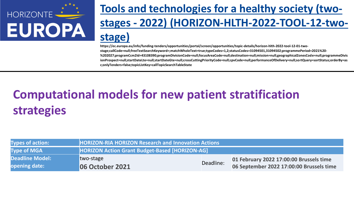

# **Tools and technologies for a healthy society (twostages - 2022) (HORIZON-HLTH-2022-TOOL-12-twostage)**

**https://ec.europa.eu/info/funding-tenders/opportunities/portal/screen/opportunities/topic-details/horizon-hlth-2022-tool-12-01-twostage;callCode=null;freeTextSearchKeyword=;matchWholeText=true;typeCodes=1,2;statusCodes=31094501,31094502;programmePeriod=2021%20- %202027;programCcm2Id=43108390;programDivisionCode=null;focusAreaCode=null;destination=null;mission=null;geographicalZonesCode=null;programmeDivis ionProspect=null;startDateLte=null;startDateGte=null;crossCuttingPriorityCode=null;cpvCode=null;performanceOfDelivery=null;sortQuery=sortStatus;orderBy=as c;onlyTenders=false;topicListKey=callTopicSearchTableState**

# **Computational models for new patient stratification strategies**

| <b>Types of action:</b> | <b>HORIZON-RIA HORIZON Research and Innovation Actions</b> |           |                                          |
|-------------------------|------------------------------------------------------------|-----------|------------------------------------------|
| <b>Type of MGA</b>      | <b>HORIZON Action Grant Budget-Based [HORIZON-AG]</b>      |           |                                          |
| <b>Deadline Model:</b>  | two-stage                                                  |           | 01 February 2022 17:00:00 Brussels time  |
| opening date:           | <b>06 October 2021</b>                                     | Deadline: | 06 September 2022 17:00:00 Brussels time |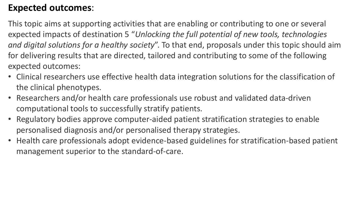### **Expected outcomes**:

This topic aims at supporting activities that are enabling or contributing to one or several expected impacts of destination 5 "*Unlocking the full potential of new tools, technologies and digital solutions for a healthy society*". To that end, proposals under this topic should aim for delivering results that are directed, tailored and contributing to some of the following expected outcomes:

- Clinical researchers use effective health data integration solutions for the classification of the clinical phenotypes.
- Researchers and/or health care professionals use robust and validated data-driven computational tools to successfully stratify patients.
- Regulatory bodies approve computer-aided patient stratification strategies to enable personalised diagnosis and/or personalised therapy strategies.
- Health care professionals adopt evidence-based guidelines for stratification-based patient management superior to the standard-of-care.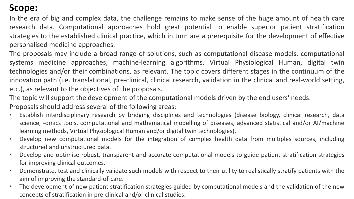In the era of big and complex data, the challenge remains to make sense of the huge amount of health care research data. Computational approaches hold great potential to enable superior patient stratification strategies to the established clinical practice, which in turn are a prerequisite for the development of effective personalised medicine approaches.

The proposals may include a broad range of solutions, such as computational disease models, computational systems medicine approaches, machine-learning algorithms, Virtual Physiological Human, digital twin technologies and/or their combinations, as relevant. The topic covers different stages in the continuum of the innovation path (i.e. translational, pre-clinical, clinical research, validation in the clinical and real-world setting, etc.), as relevant to the objectives of the proposals.

The topic will support the development of the computational models driven by the end users' needs.

Proposals should address several of the following areas:

- Establish interdisciplinary research by bridging disciplines and technologies (disease biology, clinical research, data science, -omics tools, computational and mathematical modelling of diseases, advanced statistical and/or AI/machine learning methods, Virtual Physiological Human and/or digital twin technologies).
- Develop new computational models for the integration of complex health data from multiples sources, including structured and unstructured data.
- Develop and optimise robust, transparent and accurate computational models to guide patient stratification strategies for improving clinical outcomes.
- Demonstrate, test and clinically validate such models with respect to their utility to realistically stratify patients with the aim of improving the standard-of-care.
- The development of new patient stratification strategies guided by computational models and the validation of the new concepts of stratification in pre-clinical and/or clinical studies.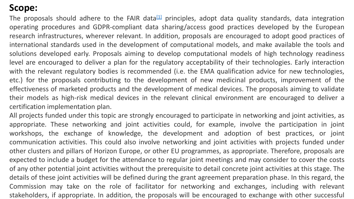The proposals should adhere to the FAIR data<sup>[\[1\]](https://ec.europa.eu/info/funding-tenders/opportunities/portal/#fn1)</sup> principles, adopt data quality standards, data integration operating procedures and GDPR-compliant data sharing/access good practices developed by the European research infrastructures, wherever relevant. In addition, proposals are encouraged to adopt good practices of international standards used in the development of computational models, and make available the tools and solutions developed early. Proposals aiming to develop computational models of high technology readiness level are encouraged to deliver a plan for the regulatory acceptability of their technologies. Early interaction with the relevant regulatory bodies is recommended (i.e. the EMA qualification advice for new technologies, etc.) for the proposals contributing to the development of new medicinal products, improvement of the effectiveness of marketed products and the development of medical devices. The proposals aiming to validate their models as high-risk medical devices in the relevant clinical environment are encouraged to deliver a certification implementation plan.

All projects funded under this topic are strongly encouraged to participate in networking and joint activities, as appropriate. These networking and joint activities could, for example, involve the participation in joint workshops, the exchange of knowledge, the development and adoption of best practices, or joint communication activities. This could also involve networking and joint activities with projects funded under other clusters and pillars of Horizon Europe, or other EU programmes, as appropriate. Therefore, proposals are expected to include a budget for the attendance to regular joint meetings and may consider to cover the costs of any other potential joint activities without the prerequisite to detail concrete joint activities at this stage. The details of these joint activities will be defined during the grant agreement preparation phase. In this regard, the Commission may take on the role of facilitator for networking and exchanges, including with relevant stakeholders, if appropriate. In addition, the proposals will be encouraged to exchange with other successful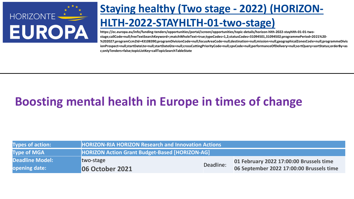

# **Staying healthy (Two stage - 2022) (HORIZON-**

### **HLTH-2022-STAYHLTH-01-two-stage)**

**https://ec.europa.eu/info/funding-tenders/opportunities/portal/screen/opportunities/topic-details/horizon-hlth-2022-stayhlth-01-01-twostage;callCode=null;freeTextSearchKeyword=;matchWholeText=true;typeCodes=1,2;statusCodes=31094501,31094502;programmePeriod=2021%20- %202027;programCcm2Id=43108390;programDivisionCode=null;focusAreaCode=null;destination=null;mission=null;geographicalZonesCode=null;programmeDivis ionProspect=null;startDateLte=null;startDateGte=null;crossCuttingPriorityCode=null;cpvCode=null;performanceOfDelivery=null;sortQuery=sortStatus;orderBy=as c;onlyTenders=false;topicListKey=callTopicSearchTableState**

# **Boosting mental health in Europe in times of change**

| <b>Types of action:</b> | <b>HORIZON-RIA HORIZON Research and Innovation Actions</b> |           |                                          |
|-------------------------|------------------------------------------------------------|-----------|------------------------------------------|
| <b>Type of MGA</b>      | <b>HORIZON Action Grant Budget-Based [HORIZON-AG]</b>      |           |                                          |
| <b>Deadline Model:</b>  | two-stage                                                  |           | 01 February 2022 17:00:00 Brussels time  |
| opening date:           | <b>06 October 2021</b>                                     | Deadline: | 06 September 2022 17:00:00 Brussels time |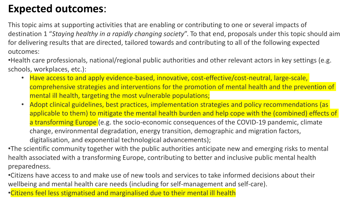## **Expected outcomes**:

This topic aims at supporting activities that are enabling or contributing to one or several impacts of destination 1 "*Staying healthy in a rapidly changing society*". To that end, proposals under this topic should aim for delivering results that are directed, tailored towards and contributing to all of the following expected outcomes:

•Health care professionals, national/regional public authorities and other relevant actors in key settings (e.g. schools, workplaces, etc.):

- Have access to and apply evidence-based, innovative, cost-effective/cost-neutral, large-scale, comprehensive strategies and interventions for the promotion of mental health and the prevention of mental ill health, targeting the most vulnerable populations;
- Adopt clinical guidelines, best practices, implementation strategies and policy recommendations (as applicable to them) to mitigate the mental health burden and help cope with the (combined) effects of a transforming Europe (e.g. the socio-economic consequences of the COVID-19 pandemic, climate change, environmental degradation, energy transition, demographic and migration factors, digitalisation, and exponential technological advancements);

•The scientific community together with the public authorities anticipate new and emerging risks to mental health associated with a transforming Europe, contributing to better and inclusive public mental health preparedness.

•Citizens have access to and make use of new tools and services to take informed decisions about their wellbeing and mental health care needs (including for self-management and self-care).

•Citizens feel less stigmatised and marginalised due to their mental ill health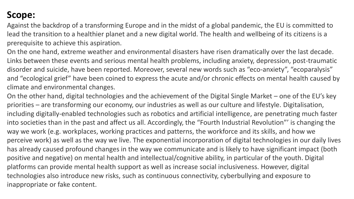Against the backdrop of a transforming Europe and in the midst of a global pandemic, the EU is committed to lead the transition to a healthier planet and a new digital world. The health and wellbeing of its citizens is a prerequisite to achieve this aspiration.

On the one hand, extreme weather and environmental disasters have risen dramatically over the last decade. Links between these events and serious mental health problems, including anxiety, depression, post-traumatic disorder and suicide, have been reported. Moreover, several new words such as "eco-anxiety", "ecoparalysis" and "ecological grief" have been coined to express the acute and/or chronic effects on mental health caused by climate and environmental changes.

On the other hand, digital technologies and the achievement of the Digital Single Market – one of the EU's key priorities – are transforming our economy, our industries as well as our culture and lifestyle. Digitalisation, including digitally-enabled technologies such as robotics and artificial intelligence, are penetrating much faster into societies than in the past and affect us all. Accordingly, the "Fourth Industrial Revolution"' is changing the way we work (e.g. workplaces, working practices and patterns, the workforce and its skills, and how we perceive work) as well as the way we live. The exponential incorporation of digital technologies in our daily lives has already caused profound changes in the way we communicate and is likely to have significant impact (both positive and negative) on mental health and intellectual/cognitive ability, in particular of the youth. Digital platforms can provide mental health support as well as increase social inclusiveness. However, digital technologies also introduce new risks, such as continuous connectivity, cyberbullying and exposure to inappropriate or fake content.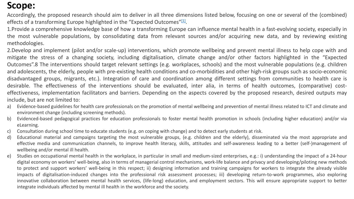Accordingly, the proposed research should aim to deliver in all three dimensions listed below, focusing on one or several of the (combined) effects of a transforming Europe highlighted in the "Expected Outcomes"<sup>[\[1\]](https://ec.europa.eu/info/funding-tenders/opportunities/portal/#fn1)</sup>.

1.Provide a comprehensive knowledge base of how a transforming Europe can influence mental health in a fast-evolving society, especially in the most vulnerable populations, by consolidating data from relevant sources and/or acquiring new data, and by reviewing existing methodologies.

2.Develop and implement (pilot and/or scale-up) interventions, which promote wellbeing and prevent mental illness to help cope with and mitigate the stress of a changing society, including digitalisation, climate change and/or other factors highlighted in the "Expected Outcomes".8 The interventions should target relevant settings (e.g. workplaces, schools) and the most vulnerable populations (e.g. children and adolescents, the elderly, people with pre-existing health conditions and co-morbidities and other high-risk groups such as socio-economic disadvantaged groups, migrants, etc.). Integration of care and coordination among different settings from communities to health care is desirable. The effectiveness of the interventions should be evaluated, inter alia, in terms of health outcomes, (comparative) costeffectiveness, implementation facilitators and barriers. Depending on the aspects covered by the proposed research, desired outputs may include, but are not limited to:

- a) Evidence-based guidelines for health care professionals on the promotion of mental wellbeing and prevention of mental illness related to ICT and climate and environment change (including screening methods).
- b) Evidenced-based pedagogical practices for education professionals to foster mental health promotion in schools (including higher education) and/or via eLearning.
- c) Consultation during school time to educate students (e.g. on coping with change) and to detect early students at risk.
- d) Educational material and campaigns targeting the most vulnerable groups, (e.g. children and the elderly), disseminated via the most appropriate and effective media and communication channels, to improve health literacy, skills, attitudes and self-awareness leading to a better (self-)management of wellbeing and/or mental ill health.
- e) Studies on occupational mental health in the workplace, in particular in small and medium-sized enterprises, e.g.: i) understanding the impact of a 24-hour digital economy on workers' well-being, also in terms of managerial control mechanisms, work-life balance and privacy and developing/piloting new methods to protect and support workers' well-being in this respect; ii) designing information and training campaigns for workers to integrate the already visible impacts of digitalisation-induced changes into the professional risk assessment processes; iii) developing return-to-work programmes, also exploring innovative collaboration between mental health services, (life-long) education, and employment sectors. This will ensure appropriate support to better integrate individuals affected by mental ill health in the workforce and the society.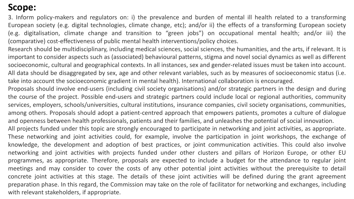3. Inform policy-makers and regulators on: i) the prevalence and burden of mental ill health related to a transforming European society (e.g. digital technologies, climate change, etc); and/or ii) the effects of a transforming European society (e.g. digitalisation, climate change and transition to "green jobs") on occupational mental health; and/or iii) the (comparative) cost-effectiveness of public mental health interventions/policy choices.

Research should be multidisciplinary, including medical sciences, social sciences, the humanities, and the arts, if relevant. It is important to consider aspects such as (associated) behavioural patterns, stigma and novel social dynamics as well as different socioeconomic, cultural and geographical contexts. In all instances, sex and gender-related issues must be taken into account. All data should be disaggregated by sex, age and other relevant variables, such as by measures of socioeconomic status (i.e. take into account the socioeconomic gradient in mental health). International collaboration is encouraged.

Proposals should involve end-users (including civil society organisations) and/or strategic partners in the design and during the course of the project. Possible end-users and strategic partners could include local or regional authorities, community services, employers, schools/universities, cultural institutions, insurance companies, civil society organisations, communities, among others. Proposals should adopt a patient-centred approach that empowers patients, promotes a culture of dialogue and openness between health professionals, patients and their families, and unleashes the potential of social innovation.

All projects funded under this topic are strongly encouraged to participate in networking and joint activities, as appropriate. These networking and joint activities could, for example, involve the participation in joint workshops, the exchange of knowledge, the development and adoption of best practices, or joint communication activities. This could also involve networking and joint activities with projects funded under other clusters and pillars of Horizon Europe, or other EU programmes, as appropriate. Therefore, proposals are expected to include a budget for the attendance to regular joint meetings and may consider to cover the costs of any other potential joint activities without the prerequisite to detail concrete joint activities at this stage. The details of these joint activities will be defined during the grant agreement preparation phase. In this regard, the Commission may take on the role of facilitator for networking and exchanges, including with relevant stakeholders, if appropriate.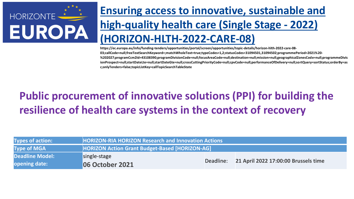

**https://ec.europa.eu/info/funding-tenders/opportunities/portal/screen/opportunities/topic-details/horizon-hlth-2022-care-08- 03;callCode=null;freeTextSearchKeyword=;matchWholeText=true;typeCodes=1,2;statusCodes=31094501,31094502;programmePeriod=2021%20- %202027;programCcm2Id=43108390;programDivisionCode=null;focusAreaCode=null;destination=null;mission=null;geographicalZonesCode=null;programmeDivis ionProspect=null;startDateLte=null;startDateGte=null;crossCuttingPriorityCode=null;cpvCode=null;performanceOfDelivery=null;sortQuery=sortStatus;orderBy=as c;onlyTenders=false;topicListKey=callTopicSearchTableState**

# **Public procurement of innovative solutions (PPI) for building the resilience of health care systems in the context of recovery**

| <b>Types of action:</b> | <b>HORIZON-RIA HORIZON Research and Innovation Actions</b> |  |                                                |
|-------------------------|------------------------------------------------------------|--|------------------------------------------------|
| <b>Type of MGA</b>      | <b>HORIZON Action Grant Budget-Based [HORIZON-AG]</b>      |  |                                                |
| <b>Deadline Model:</b>  | single-stage                                               |  |                                                |
| <b>opening date:</b>    | <b>06 October 2021</b>                                     |  | Deadline: 21 April 2022 17:00:00 Brussels time |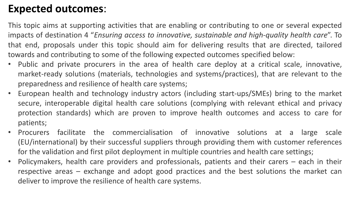## **Expected outcomes**:

This topic aims at supporting activities that are enabling or contributing to one or several expected impacts of destination 4 "*Ensuring access to innovative, sustainable and high-quality health care*". To that end, proposals under this topic should aim for delivering results that are directed, tailored towards and contributing to some of the following expected outcomes specified below:

- Public and private procurers in the area of health care deploy at a critical scale, innovative, market-ready solutions (materials, technologies and systems/practices), that are relevant to the preparedness and resilience of health care systems;
- European health and technology industry actors (including start-ups/SMEs) bring to the market secure, interoperable digital health care solutions (complying with relevant ethical and privacy protection standards) which are proven to improve health outcomes and access to care for patients;
- Procurers facilitate the commercialisation of innovative solutions at a large scale (EU/international) by their successful suppliers through providing them with customer references for the validation and first pilot deployment in multiple countries and health care settings;
- Policymakers, health care providers and professionals, patients and their carers each in their respective areas – exchange and adopt good practices and the best solutions the market can deliver to improve the resilience of health care systems.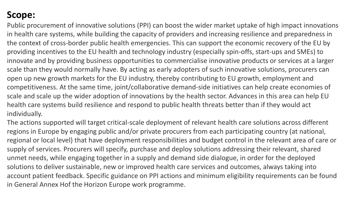Public procurement of innovative solutions (PPI) can boost the wider market uptake of high impact innovations in health care systems, while building the capacity of providers and increasing resilience and preparedness in the context of cross-border public health emergencies. This can support the economic recovery of the EU by providing incentives to the EU health and technology industry (especially spin-offs, start-ups and SMEs) to innovate and by providing business opportunities to commercialise innovative products or services at a larger scale than they would normally have. By acting as early adopters of such innovative solutions, procurers can open up new growth markets for the EU industry, thereby contributing to EU growth, employment and competitiveness. At the same time, joint/collaborative demand-side initiatives can help create economies of scale and scale up the wider adoption of innovations by the health sector. Advances in this area can help EU health care systems build resilience and respond to public health threats better than if they would act individually.

The actions supported will target critical-scale deployment of relevant health care solutions across different regions in Europe by engaging public and/or private procurers from each participating country (at national, regional or local level) that have deployment responsibilities and budget control in the relevant area of care or supply of services. Procurers will specify, purchase and deploy solutions addressing their relevant, shared unmet needs, while engaging together in a supply and demand side dialogue, in order for the deployed solutions to deliver sustainable, new or improved health care services and outcomes, always taking into account patient feedback. Specific guidance on PPI actions and minimum eligibility requirements can be found in General Annex Hof the Horizon Europe work programme.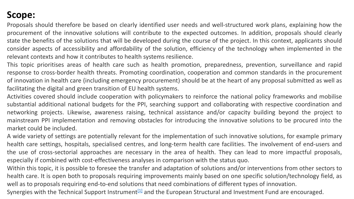Proposals should therefore be based on clearly identified user needs and well-structured work plans, explaining how the procurement of the innovative solutions will contribute to the expected outcomes. In addition, proposals should clearly state the benefits of the solutions that will be developed during the course of the project. In this context, applicants should consider aspects of accessibility and affordability of the solution, efficiency of the technology when implemented in the relevant contexts and how it contributes to health systems resilience.

This topic prioritises areas of health care such as health promotion, preparedness, prevention, surveillance and rapid response to cross-border health threats. Promoting coordination, cooperation and common standards in the procurement of innovation in health care (including emergency procurement) should be at the heart of any proposal submitted as well as facilitating the digital and green transition of EU health systems.

Activities covered should include cooperation with policymakers to reinforce the national policy frameworks and mobilise substantial additional national budgets for the PPI, searching support and collaborating with respective coordination and networking projects. Likewise, awareness raising, technical assistance and/or capacity building beyond the project to mainstream PPI implementation and removing obstacles for introducing the innovative solutions to be procured into the market could be included.

A wide variety of settings are potentially relevant for the implementation of such innovative solutions, for example primary health care settings, hospitals, specialised centres, and long-term health care facilities. The involvement of end-users and the use of cross-sectorial approaches are necessary in the area of health. They can lead to more impactful proposals, especially if combined with cost-effectiveness analyses in comparison with the status quo.

Within this topic, it is possible to foresee the transfer and adaptation of solutions and/or interventions from other sectors to health care. It is open both to proposals requiring improvements mainly based on one specific solution/technology field, as well as to proposals requiring end-to-end solutions that need combinations of different types of innovation.

Synergies with the Technical Support Instrument<sup>[\[1\]](https://ec.europa.eu/info/funding-tenders/opportunities/portal/#fn1)</sup> and the European Structural and Investment Fund are encouraged.